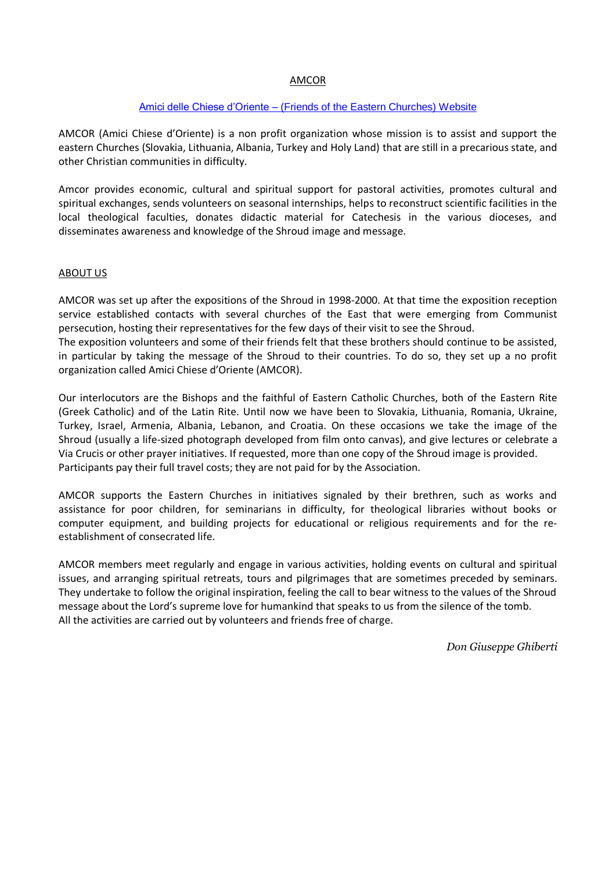# AMCOR

### Amici delle Chiese d'Oriente – [\(Friends of the Eastern Churches\)](http://www.amcor-onlus.org/) Website

AMCOR (Amici Chiese d'Oriente) is a non profit organization whose mission is to assist and support the eastern Churches (Slovakia, Lithuania, Albania, Turkey and Holy Land) that are still in a precarious state, and other Christian communities in difficulty.

Amcor provides economic, cultural and spiritual support for pastoral activities, promotes cultural and spiritual exchanges, sends volunteers on seasonal internships, helps to reconstruct scientific facilities in the local theological faculties, donates didactic material for Catechesis in the various dioceses, and disseminates awareness and knowledge of the Shroud image and message.

## ABOUT US

AMCOR was set up after the expositions of the Shroud in 1998-2000. At that time the exposition reception service established contacts with several churches of the East that were emerging from Communist persecution, hosting their representatives for the few days of their visit to see the Shroud.

The exposition volunteers and some of their friends felt that these brothers should continue to be assisted, in particular by taking the message of the Shroud to their countries. To do so, they set up a no profit organization called Amici Chiese d'Oriente (AMCOR).

Our interlocutors are the Bishops and the faithful of Eastern Catholic Churches, both of the Eastern Rite (Greek Catholic) and of the Latin Rite. Until now we have been to Slovakia, Lithuania, Romania, Ukraine, Turkey, Israel, Armenia, Albania, Lebanon, and Croatia. On these occasions we take the image of the Shroud (usually a life-sized photograph developed from film onto canvas), and give lectures or celebrate a Via Crucis or other prayer initiatives. If requested, more than one copy of the Shroud image is provided. Participants pay their full travel costs; they are not paid for by the Association.

AMCOR supports the Eastern Churches in initiatives signaled by their brethren, such as works and assistance for poor children, for seminarians in difficulty, for theological libraries without books or computer equipment, and building projects for educational or religious requirements and for the reestablishment of consecrated life.

AMCOR members meet regularly and engage in various activities, holding events on cultural and spiritual issues, and arranging spiritual retreats, tours and pilgrimages that are sometimes preceded by seminars. They undertake to follow the original inspiration, feeling the call to bear witness to the values of the Shroud message about the Lord's supreme love for humankind that speaks to us from the silence of the tomb. All the activities are carried out by volunteers and friends free of charge.

*Don Giuseppe Ghiberti*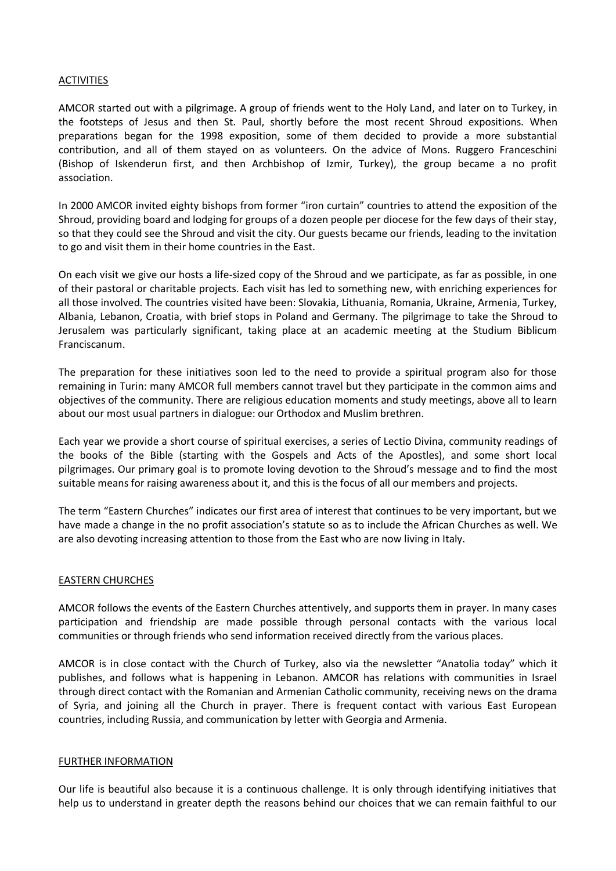### ACTIVITIES

AMCOR started out with a pilgrimage. A group of friends went to the Holy Land, and later on to Turkey, in the footsteps of Jesus and then St. Paul, shortly before the most recent Shroud expositions. When preparations began for the 1998 exposition, some of them decided to provide a more substantial contribution, and all of them stayed on as volunteers. On the advice of Mons. Ruggero Franceschini (Bishop of Iskenderun first, and then Archbishop of Izmir, Turkey), the group became a no profit association.

In 2000 AMCOR invited eighty bishops from former "iron curtain" countries to attend the exposition of the Shroud, providing board and lodging for groups of a dozen people per diocese for the few days of their stay, so that they could see the Shroud and visit the city. Our guests became our friends, leading to the invitation to go and visit them in their home countries in the East.

On each visit we give our hosts a life-sized copy of the Shroud and we participate, as far as possible, in one of their pastoral or charitable projects. Each visit has led to something new, with enriching experiences for all those involved. The countries visited have been: Slovakia, Lithuania, Romania, Ukraine, Armenia, Turkey, Albania, Lebanon, Croatia, with brief stops in Poland and Germany. The pilgrimage to take the Shroud to Jerusalem was particularly significant, taking place at an academic meeting at the Studium Biblicum Franciscanum.

The preparation for these initiatives soon led to the need to provide a spiritual program also for those remaining in Turin: many AMCOR full members cannot travel but they participate in the common aims and objectives of the community. There are religious education moments and study meetings, above all to learn about our most usual partners in dialogue: our Orthodox and Muslim brethren.

Each year we provide a short course of spiritual exercises, a series of Lectio Divina, community readings of the books of the Bible (starting with the Gospels and Acts of the Apostles), and some short local pilgrimages. Our primary goal is to promote loving devotion to the Shroud's message and to find the most suitable means for raising awareness about it, and this is the focus of all our members and projects.

The term "Eastern Churches" indicates our first area of interest that continues to be very important, but we have made a change in the no profit association's statute so as to include the African Churches as well. We are also devoting increasing attention to those from the East who are now living in Italy.

#### EASTERN CHURCHES

AMCOR follows the events of the Eastern Churches attentively, and supports them in prayer. In many cases participation and friendship are made possible through personal contacts with the various local communities or through friends who send information received directly from the various places.

AMCOR is in close contact with the Church of Turkey, also via the newsletter "Anatolia today" which it publishes, and follows what is happening in Lebanon. AMCOR has relations with communities in Israel through direct contact with the Romanian and Armenian Catholic community, receiving news on the drama of Syria, and joining all the Church in prayer. There is frequent contact with various East European countries, including Russia, and communication by letter with Georgia and Armenia.

#### FURTHER INFORMATION

Our life is beautiful also because it is a continuous challenge. It is only through identifying initiatives that help us to understand in greater depth the reasons behind our choices that we can remain faithful to our